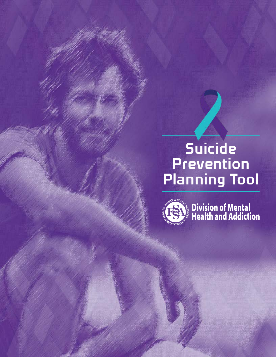# Suicide Prevention Planning Tool



Division of Mental<br>Nealth and Addiction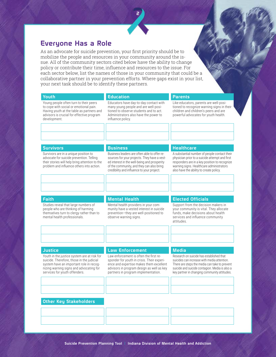# Everyone Has a Role

As an advocate for suicide prevention, your first priority should be to mobilize the people and resources in your community around the issue. All of the community sectors cited below have the ability to change policy or contribute their time, influence and resources to the issue. For each sector below, list the names of those in your community that could be a collaborative partner in your prevention efforts. Where gaps exist in your list, your next task should be to identify these partners.

| Youth                                                                                                                                                                                                           | <b>Education</b>                                                                                                                                                                                                                        | <b>Parents</b>                                                                                                                                                                                                                             |
|-----------------------------------------------------------------------------------------------------------------------------------------------------------------------------------------------------------------|-----------------------------------------------------------------------------------------------------------------------------------------------------------------------------------------------------------------------------------------|--------------------------------------------------------------------------------------------------------------------------------------------------------------------------------------------------------------------------------------------|
| Young people often turn to their peers<br>to cope with social or emotional pain.<br>Having youth at the table as partners and<br>advisors is crucial for effective program<br>development.                      | Educators have day-to-day contact with<br>many young people and are well-posi-<br>tioned to observe students and to act.<br>Administrators also have the power to<br>influence policy.                                                  | Like educators, parents are well-posi-<br>tioned to recognize warning signs in their<br>children and children's peers and are<br>powerful advocates for youth health.                                                                      |
|                                                                                                                                                                                                                 |                                                                                                                                                                                                                                         |                                                                                                                                                                                                                                            |
|                                                                                                                                                                                                                 |                                                                                                                                                                                                                                         |                                                                                                                                                                                                                                            |
| <b>Survivors</b>                                                                                                                                                                                                | <b>Business</b>                                                                                                                                                                                                                         | <b>Healthcare</b>                                                                                                                                                                                                                          |
| Survivors are in a unique position to<br>advocate for suicide prevention. Telling<br>their stories will help bring attention to the<br>problem and influence others into action.                                | Business leaders are often able to offer re-<br>sources for your projects. They have a vest-<br>ed interest in the well-being and prosperity<br>of the community, and they can also bring<br>credibility and influence to your project. | A substantial number of people contact their<br>physician prior to a suicide attempt and first<br>responders are in a key position to recognize<br>warning signs. Healthcare administrators<br>also have the ability to create policy.     |
|                                                                                                                                                                                                                 |                                                                                                                                                                                                                                         |                                                                                                                                                                                                                                            |
| Faith                                                                                                                                                                                                           | <b>Mental Health</b>                                                                                                                                                                                                                    | <b>Elected Officials</b>                                                                                                                                                                                                                   |
| Studies reveal that large numbers of<br>people who are thinking of harming<br>themselves turn to clergy rather than to<br>mental health professionals.                                                          | Mental health providers in your com-<br>munity have a vested interest in suicide<br>prevention-they are well-positioned to<br>observe warning signs.                                                                                    | Support from the decision makers in<br>your community is vital. They allocate<br>funds, make decisions about health<br>services and influence community<br>attitudes.                                                                      |
|                                                                                                                                                                                                                 |                                                                                                                                                                                                                                         |                                                                                                                                                                                                                                            |
|                                                                                                                                                                                                                 |                                                                                                                                                                                                                                         |                                                                                                                                                                                                                                            |
| <b>Justice</b>                                                                                                                                                                                                  | <b>Law Enforcement</b>                                                                                                                                                                                                                  | <b>Media</b>                                                                                                                                                                                                                               |
| Youth in the justice system are at risk for<br>suicide. Therefore, those in the judicial<br>system have an important role in recog-<br>nizing warning signs and advocating for<br>services for youth offenders. | Law enforcement is often the first re-<br>sponder for youth in crisis. Their experi-<br>ence and expertise makes them excellent<br>advisors in program design as well as key<br>partners in program implementation.                     | Research on suicide has established that<br>suicides can increase with media attention.<br>There are steps the media can take to prevent<br>suicide and suicide contagion. Media is also a<br>key partner in changing community attitudes. |
|                                                                                                                                                                                                                 |                                                                                                                                                                                                                                         |                                                                                                                                                                                                                                            |
|                                                                                                                                                                                                                 |                                                                                                                                                                                                                                         |                                                                                                                                                                                                                                            |
| <b>Other Key Stakeholders</b>                                                                                                                                                                                   |                                                                                                                                                                                                                                         |                                                                                                                                                                                                                                            |
|                                                                                                                                                                                                                 |                                                                                                                                                                                                                                         |                                                                                                                                                                                                                                            |
|                                                                                                                                                                                                                 |                                                                                                                                                                                                                                         |                                                                                                                                                                                                                                            |
|                                                                                                                                                                                                                 |                                                                                                                                                                                                                                         |                                                                                                                                                                                                                                            |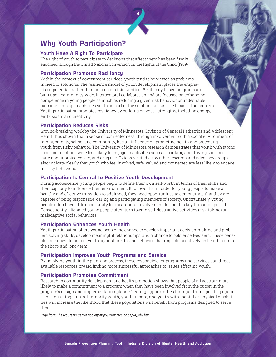# Why Youth Participation?

### Youth Have A Right To Participate

The right of youth to participate in decisions that affect them has been firmly endorsed through the United Nations Convention on the Rights of the Child (1989).

## Participation Promotes Resiliency

Within the context of government services, youth tend to be viewed as problems in need of solutions. The resilience model of youth development places the emphasis on potential, rather than on problem intervention. Resiliency-based programs are built upon community-wide, intersectoral collaboration and are focused on enhancing competence in young people as much as reducing a given risk behavior or undesirable outcome. This approach sees youth as part of the solution, not just the focus of the problem. Youth participation promotes resiliency by building on youth strengths, including energy, enthusiasm and creativity.

3

### Participation Reduces Risks

Ground-breaking work by the University of Minnesota, Division of General Pediatrics and Adolescent Health, has shown that a sense of connectedness, through involvement with a social environment of family, parents, school and community, has an influence on promoting health and protecting youth from risky behavior. The University of Minnesota research demonstrates that youth with strong social connections were less likely to engage in activities such as drinking and driving, violence, early and unprotected sex, and drug use. Extensive studies by other research and advocacy groups also indicate clearly that youth who feel involved, safe, valued and connected are less likely to engage in risky behaviors.

### Participation Is Central to Positive Youth Development

During adolescence, young people begin to define their own self-worth in terms of their skills and their capacity to influence their environment. It follows that in order for young people to make a healthy and effective transition to adulthood, they need opportunities to demonstrate that they are capable of being responsible, caring and participating members of society. Unfortunately, young people often have little opportunity for meaningful involvement during this key transition period. Consequently, alienated young people often turn toward self-destructive activities (risk-taking) or maladaptive social behaviors.

### Participation Enhances Youth Health

Youth participation offers young people the chance to develop important decision-making and problem solving skills, develop meaningful relationships, and a chance to bolster self-esteem. These benefits are known to protect youth against risk-taking behavior that impacts negatively on health both in the short- and long-term.

### Participation Improves Youth Programs and Service

By involving youth in the planning process, those responsible for programs and services can direct available resources toward finding more successful approaches to issues affecting youth.

## Participation Promotes Commitment

Research in community development and health promotion shows that people of all ages are more likely to make a commitment to a program when they have been involved from the outset in the program's design and implementation plans. Creating opportunities for input from specific populations, including cultural-minority youth, youth in care, and youth with mental or physical disabilities will increase the likelihood that these populations will benefit from programs designed to serve them.

*Page from: The McCreary Centre Society http://www.mcs.bc.ca/ya\_why.htm*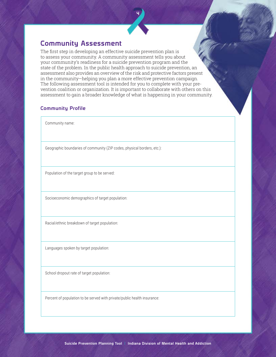# Community Assessment

The first step in developing an effective suicide prevention plan is to assess your community. A community assessment tells you about your community's readiness for a suicide prevention program and the state of the problem. In the public health approach to suicide prevention, an assessment also provides an overview of the risk and protective factors present in the community—helping you plan a more effective prevention campaign. The following assessment tool is intended for you to complete with your prevention coalition or organization. It is important to collaborate with others on this assessment to gain a broader knowledge of what is happening in your community.

4

# Community Profile

Community name:

Geographic boundaries of community (ZIP codes, physical borders, etc.):

Population of the target group to be served:

Socioeconomic demographics of target population:

Racial/ethnic breakdown of target population:

Languages spoken by target population:

School dropout rate of target population:

Percent of population to be served with private/public health insurance: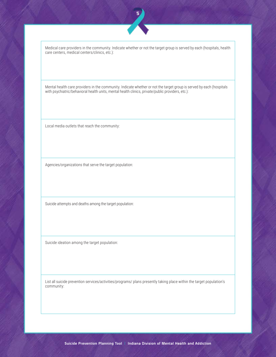

Medical care providers in the community. Indicate whether or not the target group is served by each (hospitals, health care centers, medical centers/clinics, etc.):

Mental health care providers in the community. Indicate whether or not the target group is served by each (hospitals with psychiatric/behavioral health units, mental health clinics, private/public providers, etc.):

Local media outlets that reach the community:

Agencies/organizations that serve the target population:

Suicide attempts and deaths among the target population:

Suicide ideation among the target population:

List all suicide prevention services/activities/programs/ plans presently taking place within the target population's community: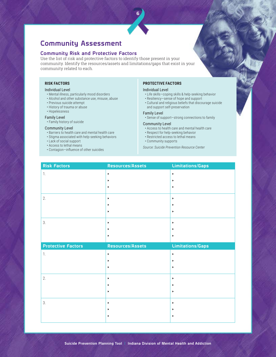# Community Assessment

### Community Risk and Protective Factors

Use the list of risk and protective factors to identify those present in your community. Identify the resources/assets and limitations/gaps that exist in your community related to each.

6

#### **RISK FACTORS**

#### Individual Level

- Mental illness, particularly mood disorders
- Alcohol and other substance use, misuse, abuse
- Previous suicide attempt
- History of trauma or abuse
- Hopelessness

#### Family Level

• Family history of suicide

#### Community Level

- Barriers to health care and mental health care
- Stigma associated with help-seeking behaviors
- Lack of social support
- Access to lethal means
- Contagion—influence of other suicides

#### **PROTECTIVE FACTORS**

#### Individual Level

- Life skills—coping skills & help-seeking behavior
- Resiliency—sense of hope and support
- Cultural and religious beliefs that discourage suicide and support self-preservation

#### Family Level

• Sense of support—strong connections to family

#### Community Level

- Access to health care and mental health care
- Respect for help-seeking behavior
- Restricted access to lethal means
- Community supports

*Source: Suicide Prevention Resource Center*

| <b>Risk Factors</b>       | Resources/Assets      | <b>Limitations/Gaps</b> |
|---------------------------|-----------------------|-------------------------|
| 1.                        | $\blacktriangleright$ | $\blacktriangleright$   |
|                           | ▶                     | $\blacktriangleright$   |
|                           | ▶                     | $\blacktriangleright$   |
| 2.                        | $\blacktriangleright$ | $\blacktriangleright$   |
|                           |                       | ٠                       |
|                           | $\blacktriangleright$ | ٠                       |
| 3.                        | $\blacktriangleright$ | $\blacktriangleright$   |
|                           |                       | ٠                       |
|                           | ▸                     | ٠                       |
|                           |                       |                         |
| <b>Protective Factors</b> | Resources/Assets      | <b>Limitations/Gaps</b> |
| 1.                        | $\blacktriangleright$ | $\blacktriangleright$   |
|                           |                       | ь                       |
|                           | $\blacktriangleright$ | $\blacktriangleright$   |
| 2.                        | $\blacktriangleright$ | $\blacktriangleright$   |
|                           |                       | ▶                       |
|                           | ▶                     | $\blacktriangleright$   |
| 3.                        | $\blacktriangleright$ | $\blacktriangleright$   |
|                           |                       | ٠                       |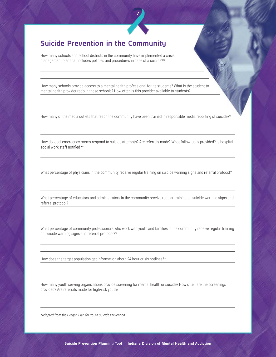# Suicide Prevention in the Community

How many schools and school districts in the community have implemented a crisis management plan that includes policies and procedures in case of a suicide?\*

How many schools provide access to a mental health professional for its students? What is the student to mental health provider ratio in these schools? How often is this provider available to students?

How many of the media outlets that reach the community have been trained in responsible media reporting of suicide?\*

7

How do local emergency rooms respond to suicide attempts? Are referrals made? What follow-up is provided? Is hospital social work staff notified?\*

What percentage of physicians in the community receive regular training on suicide warning signs and referral protocol?

What percentage of educators and administrators in the community receive regular training on suicide warning signs and referral protocol?

What percentage of community professionals who work with youth and families in the community receive regular training on suicide warning signs and referral protocol?\*

How does the target population get information about 24 hour crisis hotlines?\*

How many youth serving organizations provide screening for mental health or suicide? How often are the screenings provided? Are referrals made for high-risk youth?

*\*Adapted from the Oregon Plan for Youth Suicide Prevention*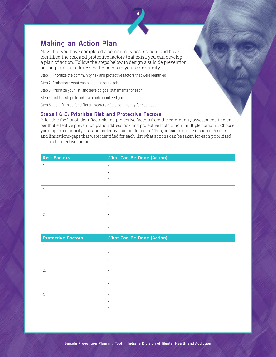# Making an Action Plan

Now that you have completed a community assessment and have identified the risk and protective factors that exist, you can develop a plan of action. Follow the steps below to design a suicide prevention action plan that addresses the needs in your community.

Step 1: Prioritize the community risk and protective factors that were identified

Step 2: Brainstorm what can be done about each

Step 3: Prioritize your list, and develop goal statements for each

Step 4: List the steps to achieve each prioritized goal

Step 5: Identify roles for different sectors of the community for each goal

#### Steps 1 & 2: Prioritize Risk and Protective Factors

Prioritize the list of identified risk and protective factors from the community assessment. Remember that effective prevention plans address risk and protective factors from multiple domains. Choose your top three priority risk and protective factors for each. Then, considering the resources/assets and limitations/gaps that were identified for each, list what actions can be taken for each prioritized risk and protective factor.

| <b>Risk Factors</b>       | <b>What Can Be Done (Action)</b> |
|---------------------------|----------------------------------|
| 1.                        | $\blacktriangleright$            |
|                           | $\blacktriangleright$            |
|                           | $\blacktriangleright$            |
| 2.                        | $\blacktriangleright$            |
|                           | $\blacktriangleright$            |
|                           | $\blacktriangleright$            |
| 3.                        | $\blacktriangleright$            |
|                           | $\blacktriangleright$            |
|                           | $\blacktriangleright$            |
|                           |                                  |
| <b>Protective Factors</b> | <b>What Can Be Done (Action)</b> |
| 1.                        | $\blacktriangleright$            |
|                           | $\blacktriangleright$            |
|                           | $\blacktriangleright$            |
| 2.                        | $\blacktriangleright$            |
|                           | $\blacktriangleright$            |
|                           | $\blacktriangleright$            |
| 3.                        | $\blacktriangleright$            |
|                           | $\blacktriangleright$            |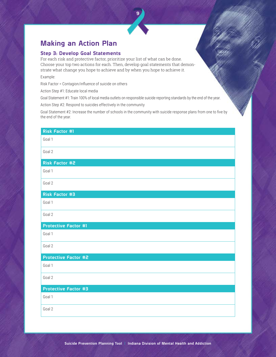# Making an Action Plan

### Step 3: Develop Goal Statements

For each risk and protective factor, prioritize your list of what can be done. Choose your top two actions for each. Then, develop goal statements that demonstrate what change you hope to achieve and by when you hope to achieve it.

Example:

Risk Factor = Contagion/influence of suicide on others

Action Step #1: Educate local media

Goal Statement #1: Train 100% of local media outlets on responsible suicide reporting standards by the end of the year.

Action Step #2: Respond to suicides effectively in the community

Goal Statement #2: Increase the number of schools in the community with suicide response plans from one to five by the end of the year.

| <b>Risk Factor #1</b>       |
|-----------------------------|
| Goal 1                      |
| Goal 2                      |
| Risk Factor #2              |
| Goal 1                      |
| Goal 2                      |
| <b>Risk Factor #3</b>       |
| Goal 1                      |
| Goal 2                      |
| <b>Protective Factor #1</b> |
| Goal 1                      |
| Goal 2                      |
| <b>Protective Factor #2</b> |
| Goal 1                      |
| Goal 2                      |
| <b>Protective Factor #3</b> |
| Goal 1                      |
| Goal 2                      |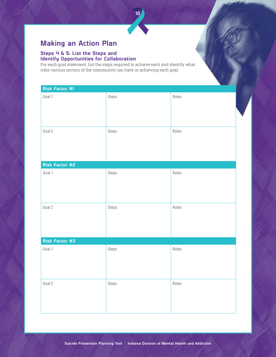# Making an Action Plan

### Steps 4 & 5: List the Steps and Identify Opportunities for Collaboration

For each goal statement, list the steps required to achieve each and identify what roles various sectors of the community can have in achieving each goal.

| Risk Factor #1 |       |       |
|----------------|-------|-------|
| Goal 1         | Steps | Roles |
| Goal 2         | Steps | Roles |
| Risk Factor #2 |       |       |
| Goal 1         | Steps | Roles |
| Goal 2         | Steps | Roles |
| Risk Factor #3 |       |       |
| Goal 1         | Steps | Roles |
| Goal 2         | Steps | Roles |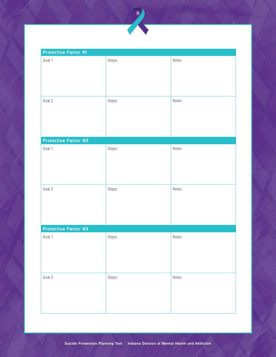

| Protective Factor #1 |       |       |
|----------------------|-------|-------|
| Goal 1               | Steps | Roles |
|                      |       |       |
|                      |       |       |
|                      |       |       |
|                      |       |       |
| Goal 2               | Steps | Roles |
|                      |       |       |
|                      |       |       |
|                      |       |       |
| Protective Factor #2 |       |       |
| Goal 1               | Steps | Roles |
|                      |       |       |
|                      |       |       |
|                      |       |       |
|                      |       |       |
| Goal 2               | Steps | Roles |
|                      |       |       |
|                      |       |       |
|                      |       |       |
| Protective Factor #3 |       |       |
| Goal 1               | Steps | Roles |
|                      |       |       |
|                      |       |       |
|                      |       |       |
|                      |       |       |
| Goal 2               | Steps | Roles |
|                      |       |       |
|                      |       |       |
|                      |       |       |
|                      |       |       |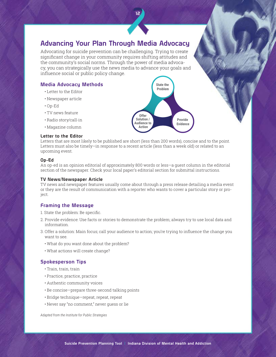# Advancing Your Plan Through Media Advocacy

12

Advocating for suicide prevention can be challenging. Trying to create significant change in your community requires shifting attitudes and the community's social norms. Through the power of media advocacy, you can strategically use the news media to advance your goals and influence social or public policy change.

# Media Advocacy Methods

- Letter to the Editor
- Newspaper article
- Op-Ed
- TV news feature
- Radio story/call-in
- Magazine column

### Letter to the Editor

Letters that are most likely to be published are short (less than 200 words), concise and to the point. Letters must also be timely—in response to a recent article (less than a week old) or related to an upcoming event.

#### Op-Ed

An op-ed is an opinion editorial of approximately 800 words or less—a guest column in the editorial section of the newspaper. Check your local paper's editorial section for submittal instructions.

#### TV News/Newspaper Article

TV news and newspaper features usually come about through a press release detailing a media event or they are the result of communication with a reporter who wants to cover a particular story or project.

# Framing the Message

1. State the problem: Be specific.

- 2. Provide evidence: Use facts or stories to demonstrate the problem; always try to use local data and information.
- 3. Offer a solution: Main focus; call your audience to action; you're trying to influence the change you want to see.
	- What do you want done about the problem?
	- What actions will create change?

# Spokesperson Tips

- Train, train, train
- Practice, practice, practice
- Authentic community voices
- Be concise—prepare three-second talking points
- Bridge technique—repeat, repeat, repeat
- Never say "no comment," never guess or lie

*Adapted from the Institute for Public Strategies*